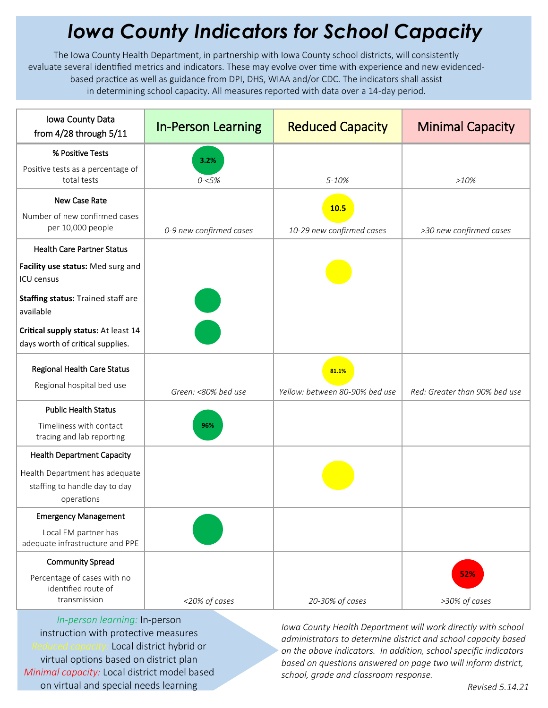## *Iowa County Indicators for School Capacity*

The Iowa County Health Department, in partnership with Iowa County school districts, will consistently evaluate several identified metrics and indicators. These may evolve over time with experience and new evidencedbased practice as well as guidance from DPI, DHS, WIAA and/or CDC. The indicators shall assist in determining school capacity. All measures reported with data over a 14-day period.

| Iowa County Data<br>from 4/28 through 5/11                                    | <b>In-Person Learning</b> | <b>Reduced Capacity</b>        | <b>Minimal Capacity</b>       |
|-------------------------------------------------------------------------------|---------------------------|--------------------------------|-------------------------------|
| % Positive Tests                                                              | 3.2%                      |                                |                               |
| Positive tests as a percentage of<br>total tests                              | $0 - 5%$                  | 5-10%                          | $>10\%$                       |
| New Case Rate                                                                 |                           | 10.5                           |                               |
| Number of new confirmed cases<br>per 10,000 people                            | 0-9 new confirmed cases   | 10-29 new confirmed cases      | >30 new confirmed cases       |
| <b>Health Care Partner Status</b>                                             |                           |                                |                               |
| Facility use status: Med surg and<br><b>ICU</b> census                        |                           |                                |                               |
| Staffing status: Trained staff are<br>available                               |                           |                                |                               |
| Critical supply status: At least 14<br>days worth of critical supplies.       |                           |                                |                               |
| Regional Health Care Status<br>Regional hospital bed use                      |                           | 81.1%                          |                               |
|                                                                               | Green: <80% bed use       | Yellow: between 80-90% bed use | Red: Greater than 90% bed use |
| <b>Public Health Status</b>                                                   |                           |                                |                               |
| Timeliness with contact<br>tracing and lab reporting                          | 96%                       |                                |                               |
| <b>Health Department Capacity</b>                                             |                           |                                |                               |
| Health Department has adequate<br>staffing to handle day to day<br>operations |                           |                                |                               |
| <b>Emergency Management</b>                                                   |                           |                                |                               |
| Local EM partner has<br>adequate infrastructure and PPE                       |                           |                                |                               |
| <b>Community Spread</b>                                                       |                           |                                |                               |
| Percentage of cases with no<br>identified route of<br>transmission            | <20% of cases             | 20-30% of cases                | 52%<br>>30% of cases          |

*In-person learning:* In-person instruction with protective measures *Reduced capacity:* Local district hybrid or virtual options based on district plan *Minimal capacity:* Local district model based on virtual and special needs learning

*Iowa County Health Department will work directly with school administrators to determine district and school capacity based on the above indicators. In addition, school specific indicators based on questions answered on page two will inform district, school, grade and classroom response.*